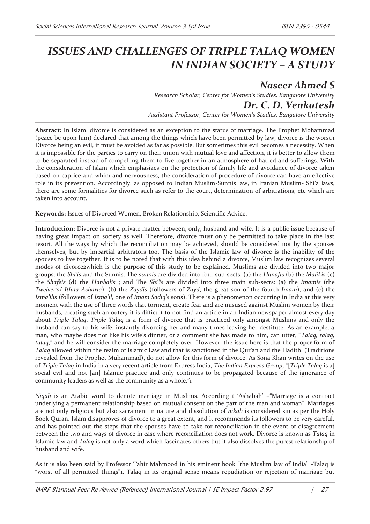## *ISSUES AND CHALLENGES OF TRIPLE TALAQ WOMEN IN INDIAN SOCIETY – A STUDY*

*Naseer Ahmed S Research Scholar, Center for Women's Studies, Bangalore University Dr. C. D. Venkatesh Assistant Professor, Center for Women's Studies, Bangalore University*

**Abstract:** In Islam, divorce is considered as an exception to the status of marriage. The Prophet Mohammad (peace be upon him) declared that among the things which have been permitted by law, divorce is the worst.1 Divorce being an evil, it must be avoided as far as possible. But sometimes this evil becomes a necessity. When it is impossible for the parties to carry on their union with mutual love and affection, it is better to allow them to be separated instead of compelling them to live together in an atmosphere of hatred and sufferings. With the consideration of Islam which emphasizes on the protection of family life and avoidance of divorce taken based on caprice and whim and nervousness, the consideration of procedure of divorce can have an effective role in its prevention. Accordingly, as opposed to Indian Muslim-Sunnis law, in Iranian Muslim- Shi'a laws, there are some formalities for divorce such as refer to the court, determination of arbitrations, etc which are taken into account.

**Keywords:** Issues of Divorced Women, Broken Relationship, Scientific Advice.

**Introduction:** Divorce is not a private matter between, only, husband and wife. It is a public issue because of having great impact on society as well. Therefore, divorce must only be permitted to take place in the last resort. All the ways by which the reconciliation may be achieved, should be considered not by the spouses themselves, but by impartial arbitrators too. The basis of the Islamic law of divorce is the inability of the spouses to live together. It is to be noted that with this idea behind a divorce, Muslim law recognizes several modes of divorce2which is the purpose of this study to be explained. Muslims are divided into two major groups: the *Shi'is* and the Sunnis. The *sunnis* are divided into four sub-sects: (a) the *Hanafis* (b) the *Malikis* (c) the *Shafeis* (d) the *Hanbalis* ; and The *Shi'is* are divided into three main sub-sects: (a) the *Imamis* (the *Twelver's/ Ithna Asharia*), (b) the *Zaydis* (followers of *Zayd*, the great son of the fourth *Imam*), and (c) the *Isma'ilis* (followers of *Isma'il*, one of *Imam Sadiq's* sons). There is a phenomenon occurring in India at this very moment with the use of three words that torment, create fear and are misused against Muslim women by their husbands, creating such an outcry it is difficult to not find an article in an Indian newspaper almost every day about *Triple Talaq*. *Triple Talaq* is a form of divorce that is practiced only amongst Muslims and only the husband can say to his wife, instantly divorcing her and many times leaving her destitute. As an example, a man, who maybe does not like his wife's dinner, or a comment she has made to him, can utter, "*Talaq, talaq, talaq*," and he will consider the marriage completely over. However, the issue here is that the proper form of *Talaq* allowed within the realm of Islamic Law and that is sanctioned in the Qur'an and the Hadith, (Traditions revealed from the Prophet Muhammad), do not allow for this form of divorce. As Sona Khan writes on the use of *Triple Talaq* in India in a very recent article from Express India, *The Indian Express Group*, "[*Triple Talaq* is a] social evil and not [an] Islamic practice and only continues to be propagated because of the ignorance of community leaders as well as the community as a whole."1

*Niqah* is an Arabic word to denote marriage in Muslims. According t 'Ashabah' –"Marriage is a contract underlying a permanent relationship based on mutual consent on the part of the man and woman". Marriages are not only religious but also sacrament in nature and dissolution of *nikah* is considered sin as per the Holy Book Quran. Islam disapproves of divorce to a great extent, and it recommends its followers to be very careful, and has pointed out the steps that the spouses have to take for reconciliation in the event of disagreement between the two and ways of divorce in case where reconciliation does not work. Divorce is known as *Talaq* in Islamic law and *Talaq* is not only a word which fascinates others but it also dissolves the purest relationship of husband and wife.

As it is also been said by Professor Tahir Mahmood in his eminent book "the Muslim law of India" -Talaq is "worst of all permitted things"1. Talaq in its original sense means repudiation or rejection of marriage but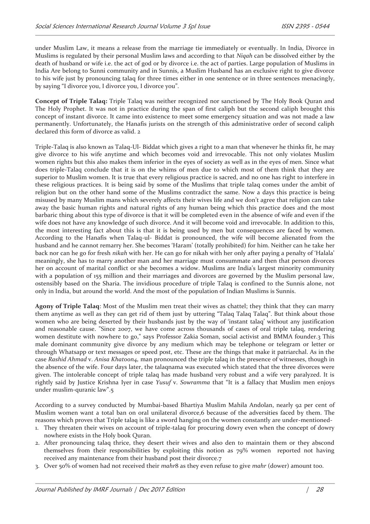under Muslim Law, it means a release from the marriage tie immediately or eventually. In India, Divorce in Muslims is regulated by their personal Muslim laws and according to that *Niqah* can be dissolved either by the death of husband or wife i.e. the act of god or by divorce i.e. the act of parties. Large population of Muslims in India Are belong to Sunni community and in Sunnis, a Muslim Husband has an exclusive right to give divorce to his wife just by pronouncing talaq for three times either in one sentence or in three sentences menacingly, by saying "I divorce you, I divorce you, I divorce you".

**Concept of Triple Talaq:** Triple Talaq was neither recognized nor sanctioned by The Holy Book Quran and The Holy Prophet. It was not in practice during the span of first caliph but the second caliph brought this concept of instant divorce. It came into existence to meet some emergency situation and was not made a law permanently. Unfortunately, the Hanafis jurists on the strength of this administrative order of second caliph declared this form of divorce as valid. 2

Triple-Talaq is also known as Talaq-Ul- Biddat which gives a right to a man that whenever he thinks fit, he may give divorce to his wife anytime and which becomes void and irrevocable. This not only violates Muslim women rights but this also makes them inferior in the eyes of society as well as in the eyes of men. Since what does triple-Talaq conclude that it is on the whims of men due to which most of them think that they are superior to Muslim women. It is true that every religious practice is sacred, and no one has right to interfere in these religious practices. It is being said by some of the Muslims that triple talaq comes under the ambit of religion but on the other hand some of the Muslims contradict the same. Now a days this practice is being misused by many Muslim mans which severely affects their wives life and we don't agree that religion can take away the basic human rights and natural rights of any human being which this practice does and the most barbaric thing about this type of divorce is that it will be completed even in the absence of wife and even if the wife does not have any knowledge of such divorce. And it will become void and irrevocable. In addition to this, the most interesting fact about this is that it is being used by men but consequences are faced by women. According to the Hanafis when Talaq-ul- Biddat is pronounced, the wife will become alienated from the husband and he cannot remarry her. She becomes 'Haram' (totally prohibited) for him. Neither can he take her back nor can he go for fresh *nikah* with her. He can go for nikah with her only after paying a penalty of 'Halala' meaningly, she has to marry another man and her marriage must consummate and then that person divorces her on account of marital conflict or she becomes a widow. Muslims are India's largest minority community with a population of 155 million and their marriages and divorces are governed by the Muslim personal law, ostensibly based on the Sharia. The invidious procedure of triple Talaq is confined to the Sunnis alone, not only in India, but around the world. And the most of the population of Indian Muslims is Sunnis.

**Agony of Triple Talaq**: Most of the Muslim men treat their wives as chattel; they think that they can marry them anytime as well as they can get rid of them just by uttering "Talaq Talaq Talaq". But think about those women who are being deserted by their husbands just by the way of 'instant talaq' without any justification and reasonable cause. "Since 2007, we have come across thousands of cases of oral triple talaq, rendering women destitute with nowhere to go," says Professor Zakia Soman, social activist and BMMA founder.3 This male dominant community give divorce by any medium which may be telephone or telegram or letter or through Whatsapp or text messages or speed post, etc. These are the things that make it patriarchal. As in the case *Rashid Ahmad* v. *Anisa Khatoon4,* man pronounced the triple talaq in the presence of witnesses, though in the absence of the wife. Four days later, the talaqnama was executed which stated that the three divorces were given. The intolerable concept of triple talaq has made husband very robust and a wife very paralyzed. It is rightly said by Justice Krishna Iyer in case *Yusuf* v. *Sowramma* that "It is a fallacy that Muslim men enjoys under muslim-quranic law".5

According to a survey conducted by Mumbai-based Bhartiya Muslim Mahila Andolan, nearly 92 per cent of Muslim women want a total ban on oral unilateral divorce,6 because of the adversities faced by them. The reasons which proves that Triple talaq is like a sword hanging on the women constantly are under-mentioned-

- 1. They threaten their wives on account of triple-talaq for procuring dowry even when the concept of dowry nowhere exists in the Holy book Quran.
- 2. After pronouncing talaq thrice, they desert their wives and also den to maintain them or they abscond themselves from their responsibilities by exploiting this notion as 79% women reported not having received any maintenance from their husband post their divorce.7
- 3. Over 50% of women had not received their *mahr*8 as they even refuse to give *mahr* (dower) amount too.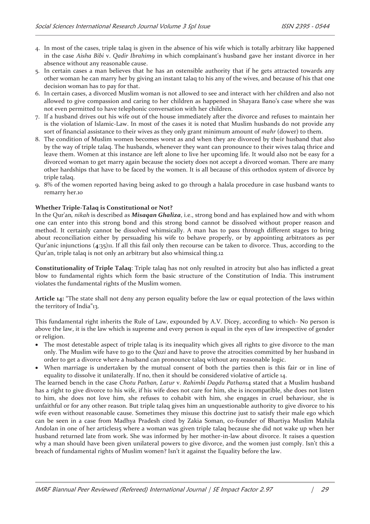- 4. In most of the cases, triple talaq is given in the absence of his wife which is totally arbitrary like happened in the case *Aisha Bibi* v. *Qadir Ibrahim9* in which complainant's husband gave her instant divorce in her absence without any reasonable cause.
- 5. In certain cases a man believes that he has an ostensible authority that if he gets attracted towards any other woman he can marry her by giving an instant talaq to his any of the wives, and because of his that one decision woman has to pay for that.
- 6. In certain cases, a divorced Muslim woman is not allowed to see and interact with her children and also not allowed to give compassion and caring to her children as happened in Shayara Bano's case where she was not even permitted to have telephonic conversation with her children.
- 7. If a husband drives out his wife out of the house immediately after the divorce and refuses to maintain her is the violation of Islamic-Law. In most of the cases it is noted that Muslim husbands do not provide any sort of financial assistance to their wives as they only grant minimum amount of *mahr* (dower) to them.
- 8. The condition of Muslim women becomes worst as and when they are divorced by their husband that also by the way of triple talaq. The husbands, whenever they want can pronounce to their wives talaq thrice and leave them. Women at this instance are left alone to live her upcoming life. It would also not be easy for a divorced woman to get marry again because the society does not accept a divorced woman. There are many other hardships that have to be faced by the women. It is all because of this orthodox system of divorce by triple talaq.
- 9. 8% of the women reported having being asked to go through a halala procedure in case husband wants to remarry her.10

## **Whether Triple-Talaq is Constitutional or Not?**

In the Qur'an*, nikah* is described as *Misaqan Ghaliza*, i.e., strong bond and has explained how and with whom one can enter into this strong bond and this strong bond cannot be dissolved without proper reason and method. It certainly cannot be dissolved whimsically. A man has to pass through different stages to bring about reconciliation either by persuading his wife to behave properly, or by appointing arbitrators as per Qur'anic injunctions (**4**:35)11. If all this fail only then recourse can be taken to divorce. Thus, according to the Qur'an, triple talaq is not only an arbitrary but also whimsical thing.12

**Constitutionality of Triple Talaq**: Triple talaq has not only resulted in atrocity but also has inflicted a great blow to fundamental rights which form the basic structure of the Constitution of India. This instrument violates the fundamental rights of the Muslim women.

**Article 14:** "The state shall not deny any person equality before the law or equal protection of the laws within the territory of India"13.

This fundamental right inherits the Rule of Law, expounded by A.V. Dicey, according to which- No person is above the law, it is the law which is supreme and every person is equal in the eyes of law irrespective of gender or religion.

- · The most detestable aspect of triple talaq is its inequality which gives all rights to give divorce to the man only. The Muslim wife have to go to the *Qazi* and have to prove the atrocities committed by her husband in order to get a divorce where a husband can pronounce talaq without any reasonable logic.
- · When marriage is undertaken by the mutual consent of both the parties then is this fair or in line of equality to dissolve it unilaterally. If no, then it should be considered violative of article 14.

The learned bench in the case *Chotu Pathan, Latur* v. *Rahimbi Dagdu Pathan*14 stated that a Muslim husband has a right to give divorce to his wife, if his wife does not care for him, she is incompatible, she does not listen to him, she does not love him, she refuses to cohabit with him, she engages in cruel behaviour, she is unfaithful or for any other reason. But triple talaq gives him an unquestionable authority to give divorce to his wife even without reasonable cause. Sometimes they misuse this doctrine just to satisfy their male ego which can be seen in a case from Madhya Pradesh cited by Zakia Soman, co-founder of Bhartiya Muslim Mahila Andolan in one of her articles15 where a woman was given triple talaq because she did not wake up when her husband returned late from work. She was informed by her mother-in-law about divorce. It raises a question why a man should have been given unilateral powers to give divorce, and the women just comply. Isn't this a breach of fundamental rights of Muslim women? Isn't it against the Equality before the law.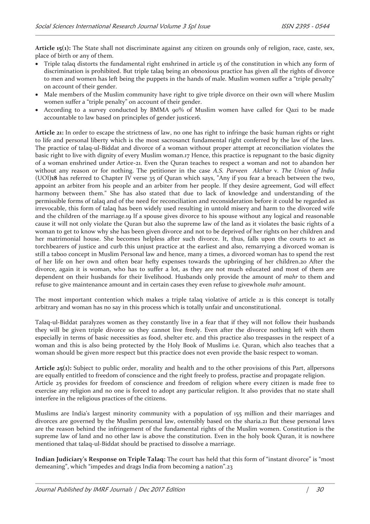**Article 15(1):** The State shall not discriminate against any citizen on grounds only of religion, race, caste, sex, place of birth or any of them.

- · Triple talaq distorts the fundamental right enshrined in article 15 of the constitution in which any form of discrimination is prohibited. But triple talaq being an obnoxious practice has given all the rights of divorce to men and women has left being the puppets in the hands of male. Muslim women suffer a "triple penalty" on account of their gender.
- Male members of the Muslim community have right to give triple divorce on their own will where Muslim women suffer a "triple penalty" on account of their gender.
- According to a survey conducted by BMMA 90% of Muslim women have called for Qazi to be made accountable to law based on principles of gender justice16.

**Article 21:** In order to escape the strictness of law, no one has right to infringe the basic human rights or right to life and personal liberty which is the most sacrosanct fundamental right conferred by the law of the laws. The practice of talaq-ul-Biddat and divorce of a woman without proper attempt at reconciliation violates the basic right to live with dignity of every Muslim woman.17 Hence, this practice is repugnant to the basic dignity of a woman enshrined under Artice-21. Even the Quran teaches to respect a woman and not to abandon her without any reason or for nothing. The petitioner in the case *A.S. Parveen Akthar* v*. The Union of India*  (UOI**)18** has referred to Chapter IV verse 35 of Quran which says, "Any if you fear a breach between the two, appoint an arbiter from his people and an arbiter from her people. If they desire agreement, God will effect harmony between them." She has also stated that due to lack of knowledge and understanding of the permissible forms of talaq and of the need for reconciliation and reconsideration before it could be regarded as irrevocable, this form of talaq has been widely used resulting in untold misery and harm to the divorced wife and the children of the marriage.19 If a spouse gives divorce to his spouse without any logical and reasonable cause it will not only violate the Quran but also the supreme law of the land as it violates the basic rights of a woman to get to know why she has been given divorce and not to be deprived of her rights on her children and her matrimonial house. She becomes helpless after such divorce. It, thus, falls upon the courts to act as torchbearers of justice and curb this unjust practice at the earliest and also, remarrying a divorced woman is still a taboo concept in Muslim Personal law and hence, many a times, a divorced woman has to spend the rest of her life on her own and often bear hefty expenses towards the upbringing of her children.20 After the divorce, again it is woman, who has to suffer a lot, as they are not much educated and most of them are dependent on their husbands for their livelihood. Husbands only provide the amount of *mahr* to them and refuse to give maintenance amount and in certain cases they even refuse to givewhole *mahr* amount.

The most important contention which makes a triple talaq violative of article 21 is this concept is totally arbitrary and woman has no say in this process which is totally unfair and unconstitutional.

Talaq-ul-Biddat paralyzes women as they constantly live in a fear that if they will not follow their husbands they will be given triple divorce so they cannot live freely. Even after the divorce nothing left with them especially in terms of basic necessities as food, shelter etc. and this practice also trespasses in the respect of a woman and this is also being protected by the Holy Book of Muslims i.e. Quran, which also teaches that a woman should be given more respect but this practice does not even provide the basic respect to woman.

**Article 25(1):** Subject to public order, morality and health and to the other provisions of this Part, allpersons are equally entitled to freedom of conscience and the right freely to profess, practise and propagate religion. Article 25 provides for freedom of conscience and freedom of religion where every citizen is made free to exercise any religion and no one is forced to adopt any particular religion. It also provides that no state shall interfere in the religious practices of the citizens.

Muslims are India's largest minority community with a population of 155 million and their marriages and divorces are governed by the Muslim personal law, ostensibly based on the sharia.21 But these personal laws are the reason behind the infringement of the fundamental rights of the Muslim women. Constitution is the supreme law of land and no other law is above the constitution. Even in the holy book Quran, it is nowhere mentioned that talaq-ul-Biddat should be practised to dissolve a marriage.

**Indian Judiciary's Response on Triple Talaq:** The court has held that this form of "instant divorce" is "most demeaning", which "impedes and drags India from becoming a nation".23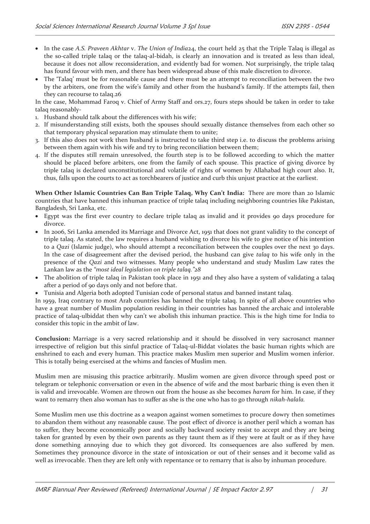- · In the case *A.S. Praveen Akhtar* v. *The Union of India*24, the court held 25 that the Triple Talaq is illegal as the so-called triple talaq or the talaq-al-bidah, is clearly an innovation and is treated as less than ideal, because it does not allow reconsideration, and evidently bad for women. Not surprisingly, the triple talaq has found favour with men, and there has been widespread abuse of this male discretion to divorce.
- The 'Talaq' must be for reasonable cause and there must be an attempt to reconciliation between the two by the arbiters, one from the wife's family and other from the husband's family. If the attempts fail, then they can recourse to talaq.26

In the case, Mohammad Faroq v. Chief of Army Staff and ors.27, fours steps should be taken in order to take talaq reasonably-

- 1. Husband should talk about the differences with his wife;
- 2. If misunderstanding still exists, both the spouses should sexually distance themselves from each other so that temporary physical separation may stimulate them to unite;
- 3. If this also does not work then husband is instructed to take third step i.e. to discuss the problems arising between them again with his wife and try to bring reconciliation between them;
- 4. If the disputes still remain unresolved, the fourth step is to be followed according to which the matter should be placed before arbiters, one from the family of each spouse. This practice of giving divorce by triple talaq is declared unconstitutional and volatile of rights of women by Allahabad high court also. It, thus, falls upon the courts to act as torchbearers of justice and curb this unjust practice at the earliest.

**When Other Islamic Countries Can Ban Triple Talaq, Why Can't India:** There are more than 20 Islamic countries that have banned this inhuman practice of triple talaq including neighboring countries like Pakistan, Bangladesh, Sri Lanka, etc.

- Egypt was the first ever country to declare triple talaq as invalid and it provides 90 days procedure for divorce.
- · In 2006, Sri Lanka amended its Marriage and Divorce Act, 1951 that does not grant validity to the concept of triple talaq. As stated, the law requires a husband wishing to divorce his wife to give notice of his intention to a *Qazi* (Islamic judge), who should attempt a reconciliation between the couples over the next 30 days. In the case of disagreement after the devised period, the husband can give *talaq* to his wife only in the presence of the *Qazi* and two witnesses. Many people who understand and study Muslim Law rates the Lankan law as the *"most ideal legislation on triple talaq."28*
- · The abolition of triple talaq in Pakistan took place in 1951 and they also have a system of validating a talaq after a period of 90 days only and not before that.
- · Tunisia and Algeria both adopted Tunisian code of personal status and banned instant talaq.

In 1959, Iraq contrary to most Arab countries has banned the triple talaq. In spite of all above countries who have a great number of Muslim population residing in their countries has banned the archaic and intolerable practice of talaq-ulbiddat then why can't we abolish this inhuman practice. This is the high time for India to consider this topic in the ambit of law.

**Conclusion:** Marriage is a very sacred relationship and it should be dissolved in very sacrosanct manner irrespective of religion but this sinful practice of Talaq-ul-Biddat violates the basic human rights which are enshrined to each and every human. This practice makes Muslim men superior and Muslim women inferior. This is totally being exercised at the whims and fancies of Muslim men.

Muslim men are misusing this practice arbitrarily. Muslim women are given divorce through speed post or telegram or telephonic conversation or even in the absence of wife and the most barbaric thing is even then it is valid and irrevocable. Women are thrown out from the house as she becomes *haram* for him. In case, if they want to remarry then also woman has to suffer as she is the one who has to go through *nikah-halala.* 

Some Muslim men use this doctrine as a weapon against women sometimes to procure dowry then sometimes to abandon them without any reasonable cause. The post effect of divorce is another peril which a woman has to suffer, they become economically poor and socially backward society resist to accept and they are being taken for granted by even by their own parents as they taunt them as if they were at fault or as if they have done something annoying due to which they got divorced. Its consequences are also suffered by men. Sometimes they pronounce divorce in the state of intoxication or out of their senses and it become valid as well as irrevocable. Then they are left only with repentance or to remarry that is also by inhuman procedure.